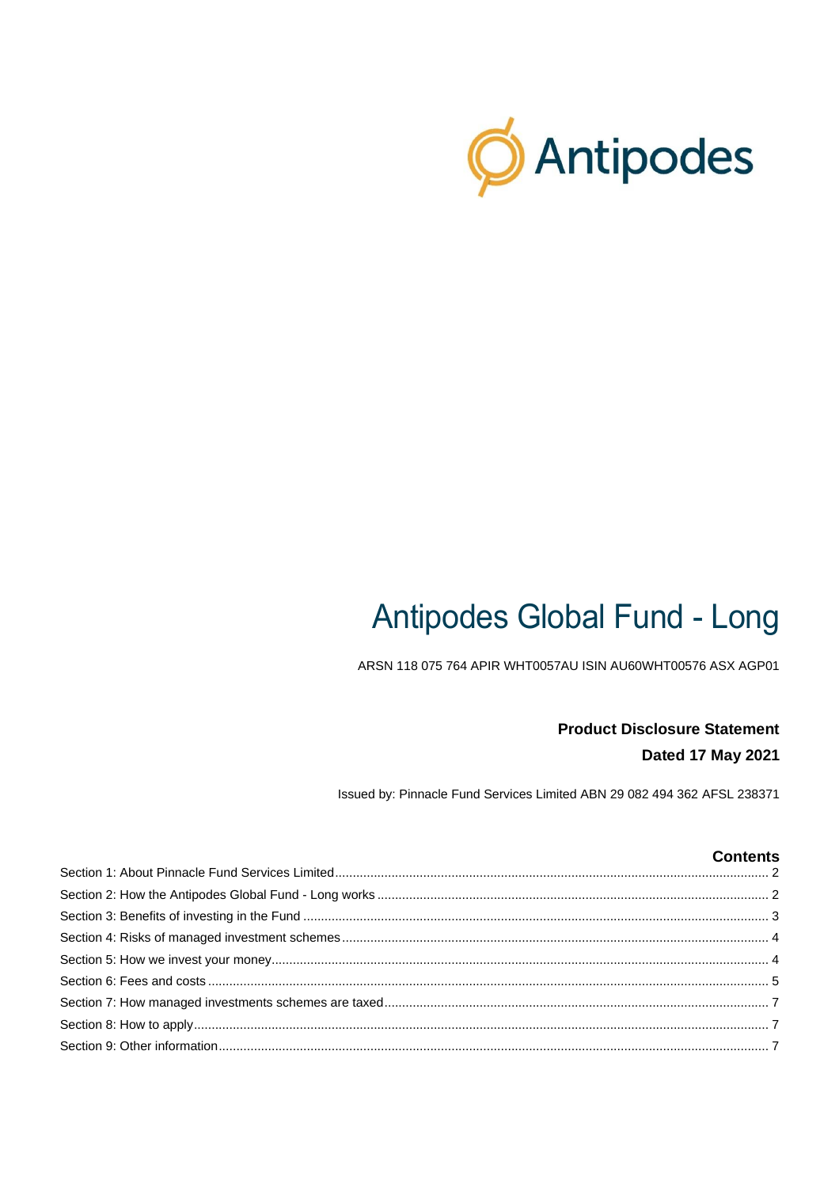

# **Antipodes Global Fund - Long**

ARSN 118 075 764 APIR WHT0057AU ISIN AU60WHT00576 ASX AGP01

# **Product Disclosure Statement** Dated 17 May 2021

Issued by: Pinnacle Fund Services Limited ABN 29 082 494 362 AFSL 238371

## **Contents**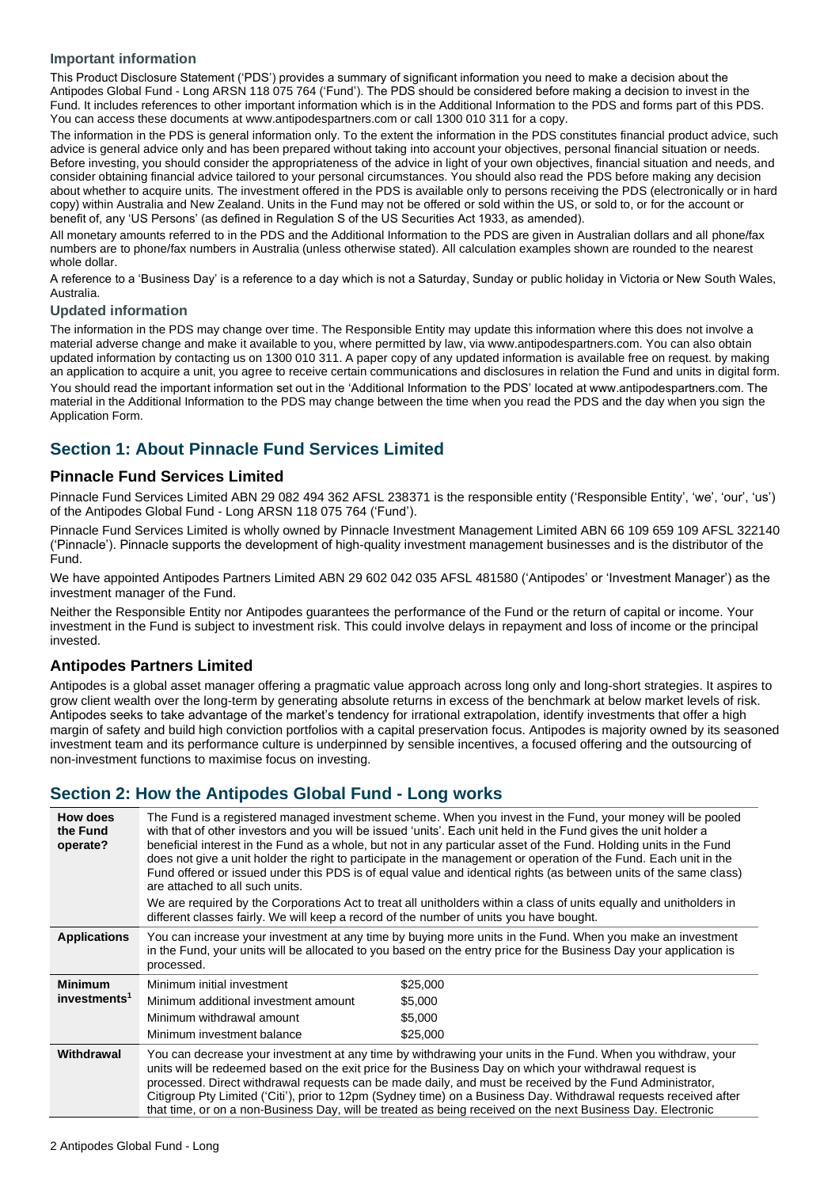#### **Important information**

This Product Disclosure Statement ('PDS') provides a summary of significant information you need to make a decision about the Antipodes Global Fund - Long ARSN 118 075 764 ('Fund'). The PDS should be considered before making a decision to invest in the Fund. It includes references to other important information which is in the Additional Information to the PDS and forms part of this PDS. You can access these documents at www.antipodespartners.com or call 1300 010 311 for a copy.

The information in the PDS is general information only. To the extent the information in the PDS constitutes financial product advice, such advice is general advice only and has been prepared without taking into account your objectives, personal financial situation or needs. Before investing, you should consider the appropriateness of the advice in light of your own objectives, financial situation and needs, and consider obtaining financial advice tailored to your personal circumstances. You should also read the PDS before making any decision about whether to acquire units. The investment offered in the PDS is available only to persons receiving the PDS (electronically or in hard copy) within Australia and New Zealand. Units in the Fund may not be offered or sold within the US, or sold to, or for the account or benefit of, any 'US Persons' (as defined in Regulation S of the US Securities Act 1933, as amended).

All monetary amounts referred to in the PDS and the Additional Information to the PDS are given in Australian dollars and all phone/fax numbers are to phone/fax numbers in Australia (unless otherwise stated). All calculation examples shown are rounded to the nearest whole dollar.

A reference to a 'Business Day' is a reference to a day which is not a Saturday, Sunday or public holiday in Victoria or New South Wales, Australia.

#### **Updated information**

The information in the PDS may change over time. The Responsible Entity may update this information where this does not involve a material adverse change and make it available to you, where permitted by law, via www.antipodespartners.com. You can also obtain updated information by contacting us on 1300 010 311. A paper copy of any updated information is available free on request. by making an application to acquire a unit, you agree to receive certain communications and disclosures in relation the Fund and units in digital form. You should read the important information set out in the 'Additional Information to the PDS' located at www.antipodespartners.com. The material in the Additional Information to the PDS may change between the time when you read the PDS and the day when you sign the Application Form.

# <span id="page-1-0"></span>**Section 1: About Pinnacle Fund Services Limited**

## **Pinnacle Fund Services Limited**

Pinnacle Fund Services Limited ABN 29 082 494 362 AFSL 238371 is the responsible entity ('Responsible Entity', 'we', 'our', 'us') of the Antipodes Global Fund - Long ARSN 118 075 764 ('Fund').

Pinnacle Fund Services Limited is wholly owned by Pinnacle Investment Management Limited ABN 66 109 659 109 AFSL 322140 ('Pinnacle'). Pinnacle supports the development of high-quality investment management businesses and is the distributor of the Fund.

We have appointed Antipodes Partners Limited ABN 29 602 042 035 AFSL 481580 ('Antipodes' or 'Investment Manager') as the investment manager of the Fund.

Neither the Responsible Entity nor Antipodes guarantees the performance of the Fund or the return of capital or income. Your investment in the Fund is subject to investment risk. This could involve delays in repayment and loss of income or the principal invested.

## **Antipodes Partners Limited**

Antipodes is a global asset manager offering a pragmatic value approach across long only and long-short strategies. It aspires to grow client wealth over the long-term by generating absolute returns in excess of the benchmark at below market levels of risk. Antipodes seeks to take advantage of the market's tendency for irrational extrapolation, identify investments that offer a high margin of safety and build high conviction portfolios with a capital preservation focus. Antipodes is majority owned by its seasoned investment team and its performance culture is underpinned by sensible incentives, a focused offering and the outsourcing of non-investment functions to maximise focus on investing.

# <span id="page-1-1"></span>**Section 2: How the Antipodes Global Fund - Long works**

| How does<br>the Fund<br>operate?           | The Fund is a registered managed investment scheme. When you invest in the Fund, your money will be pooled<br>with that of other investors and you will be issued 'units'. Each unit held in the Fund gives the unit holder a<br>beneficial interest in the Fund as a whole, but not in any particular asset of the Fund. Holding units in the Fund<br>does not give a unit holder the right to participate in the management or operation of the Fund. Each unit in the<br>Fund offered or issued under this PDS is of equal value and identical rights (as between units of the same class)<br>are attached to all such units. |                                            |  |
|--------------------------------------------|----------------------------------------------------------------------------------------------------------------------------------------------------------------------------------------------------------------------------------------------------------------------------------------------------------------------------------------------------------------------------------------------------------------------------------------------------------------------------------------------------------------------------------------------------------------------------------------------------------------------------------|--------------------------------------------|--|
|                                            | We are required by the Corporations Act to treat all unitholders within a class of units equally and unitholders in<br>different classes fairly. We will keep a record of the number of units you have bought.                                                                                                                                                                                                                                                                                                                                                                                                                   |                                            |  |
| <b>Applications</b>                        | You can increase your investment at any time by buying more units in the Fund. When you make an investment<br>in the Fund, your units will be allocated to you based on the entry price for the Business Day your application is<br>processed.                                                                                                                                                                                                                                                                                                                                                                                   |                                            |  |
| <b>Minimum</b><br>investments <sup>1</sup> | Minimum initial investment<br>Minimum additional investment amount<br>Minimum withdrawal amount<br>Minimum investment balance                                                                                                                                                                                                                                                                                                                                                                                                                                                                                                    | \$25,000<br>\$5,000<br>\$5,000<br>\$25,000 |  |
| Withdrawal                                 | You can decrease your investment at any time by withdrawing your units in the Fund. When you withdraw, your<br>units will be redeemed based on the exit price for the Business Day on which your withdrawal request is<br>processed. Direct withdrawal requests can be made daily, and must be received by the Fund Administrator,<br>Citigroup Pty Limited ('Citi'), prior to 12pm (Sydney time) on a Business Day. Withdrawal requests received after<br>that time, or on a non-Business Day, will be treated as being received on the next Business Day. Electronic                                                           |                                            |  |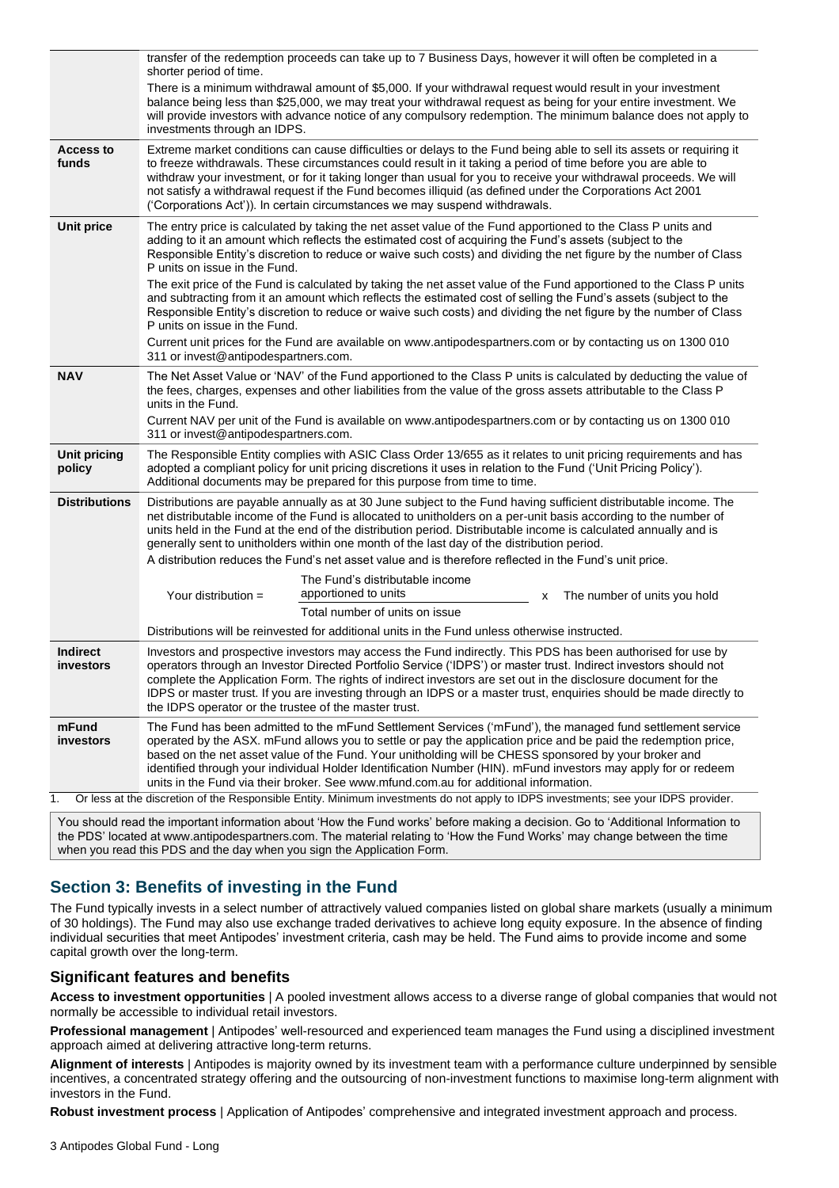|                               | transfer of the redemption proceeds can take up to 7 Business Days, however it will often be completed in a<br>shorter period of time.                                                                                                                                                                                                                                                                                                                                                                                                                |
|-------------------------------|-------------------------------------------------------------------------------------------------------------------------------------------------------------------------------------------------------------------------------------------------------------------------------------------------------------------------------------------------------------------------------------------------------------------------------------------------------------------------------------------------------------------------------------------------------|
|                               | There is a minimum withdrawal amount of \$5,000. If your withdrawal request would result in your investment<br>balance being less than \$25,000, we may treat your withdrawal request as being for your entire investment. We<br>will provide investors with advance notice of any compulsory redemption. The minimum balance does not apply to<br>investments through an IDPS.                                                                                                                                                                       |
| <b>Access to</b><br>funds     | Extreme market conditions can cause difficulties or delays to the Fund being able to sell its assets or requiring it<br>to freeze withdrawals. These circumstances could result in it taking a period of time before you are able to<br>withdraw your investment, or for it taking longer than usual for you to receive your withdrawal proceeds. We will<br>not satisfy a withdrawal request if the Fund becomes illiquid (as defined under the Corporations Act 2001<br>('Corporations Act')). In certain circumstances we may suspend withdrawals. |
| <b>Unit price</b>             | The entry price is calculated by taking the net asset value of the Fund apportioned to the Class P units and<br>adding to it an amount which reflects the estimated cost of acquiring the Fund's assets (subject to the<br>Responsible Entity's discretion to reduce or waive such costs) and dividing the net figure by the number of Class<br>P units on issue in the Fund.                                                                                                                                                                         |
|                               | The exit price of the Fund is calculated by taking the net asset value of the Fund apportioned to the Class P units<br>and subtracting from it an amount which reflects the estimated cost of selling the Fund's assets (subject to the<br>Responsible Entity's discretion to reduce or waive such costs) and dividing the net figure by the number of Class<br>P units on issue in the Fund.                                                                                                                                                         |
|                               | Current unit prices for the Fund are available on www.antipodespartners.com or by contacting us on 1300 010<br>311 or invest@antipodespartners.com.                                                                                                                                                                                                                                                                                                                                                                                                   |
| <b>NAV</b>                    | The Net Asset Value or 'NAV' of the Fund apportioned to the Class P units is calculated by deducting the value of<br>the fees, charges, expenses and other liabilities from the value of the gross assets attributable to the Class P<br>units in the Fund.                                                                                                                                                                                                                                                                                           |
|                               | Current NAV per unit of the Fund is available on www.antipodespartners.com or by contacting us on 1300 010<br>311 or invest@antipodespartners.com.                                                                                                                                                                                                                                                                                                                                                                                                    |
| <b>Unit pricing</b><br>policy | The Responsible Entity complies with ASIC Class Order 13/655 as it relates to unit pricing requirements and has<br>adopted a compliant policy for unit pricing discretions it uses in relation to the Fund ('Unit Pricing Policy').<br>Additional documents may be prepared for this purpose from time to time.                                                                                                                                                                                                                                       |
| <b>Distributions</b>          | Distributions are payable annually as at 30 June subject to the Fund having sufficient distributable income. The<br>net distributable income of the Fund is allocated to unitholders on a per-unit basis according to the number of<br>units held in the Fund at the end of the distribution period. Distributable income is calculated annually and is<br>generally sent to unitholders within one month of the last day of the distribution period.                                                                                                 |
|                               | A distribution reduces the Fund's net asset value and is therefore reflected in the Fund's unit price.                                                                                                                                                                                                                                                                                                                                                                                                                                                |
|                               | The Fund's distributable income<br>apportioned to units<br>Your distribution =<br>The number of units you hold<br>х                                                                                                                                                                                                                                                                                                                                                                                                                                   |
|                               | Total number of units on issue                                                                                                                                                                                                                                                                                                                                                                                                                                                                                                                        |
|                               | Distributions will be reinvested for additional units in the Fund unless otherwise instructed.                                                                                                                                                                                                                                                                                                                                                                                                                                                        |
| <b>Indirect</b><br>investors  | Investors and prospective investors may access the Fund indirectly. This PDS has been authorised for use by<br>operators through an Investor Directed Portfolio Service ('IDPS') or master trust. Indirect investors should not<br>complete the Application Form. The rights of indirect investors are set out in the disclosure document for the<br>IDPS or master trust. If you are investing through an IDPS or a master trust, enquiries should be made directly to<br>the IDPS operator or the trustee of the master trust.                      |
| mFund<br>investors            | The Fund has been admitted to the mFund Settlement Services ('mFund'), the managed fund settlement service<br>operated by the ASX. mFund allows you to settle or pay the application price and be paid the redemption price,<br>based on the net asset value of the Fund. Your unitholding will be CHESS sponsored by your broker and<br>identified through your individual Holder Identification Number (HIN). mFund investors may apply for or redeem<br>units in the Fund via their broker. See www.mfund.com.au for additional information.       |
| 1.                            | Or less at the discretion of the Responsible Entity. Minimum investments do not apply to IDPS investments; see your IDPS provider.                                                                                                                                                                                                                                                                                                                                                                                                                    |
|                               | $\sqrt{a}$ You should read the important information about 'How the Fund works' before making a decision. Co to 'Additional Information to                                                                                                                                                                                                                                                                                                                                                                                                            |

You should read the important information about 'How the Fund works' before making a decision. Go to 'Additional Information to the PDS' located at www.antipodespartners.com. The material relating to 'How the Fund Works' may change between the time when you read this PDS and the day when you sign the Application Form.

# <span id="page-2-0"></span>**Section 3: Benefits of investing in the Fund**

The Fund typically invests in a select number of attractively valued companies listed on global share markets (usually a minimum of 30 holdings). The Fund may also use exchange traded derivatives to achieve long equity exposure. In the absence of finding individual securities that meet Antipodes' investment criteria, cash may be held. The Fund aims to provide income and some capital growth over the long-term.

## **Significant features and benefits**

**Access to investment opportunities** | A pooled investment allows access to a diverse range of global companies that would not normally be accessible to individual retail investors.

**Professional management** | Antipodes' well-resourced and experienced team manages the Fund using a disciplined investment approach aimed at delivering attractive long-term returns.

**Alignment of interests** | Antipodes is majority owned by its investment team with a performance culture underpinned by sensible incentives, a concentrated strategy offering and the outsourcing of non-investment functions to maximise long-term alignment with investors in the Fund.

**Robust investment process** | Application of Antipodes' comprehensive and integrated investment approach and process.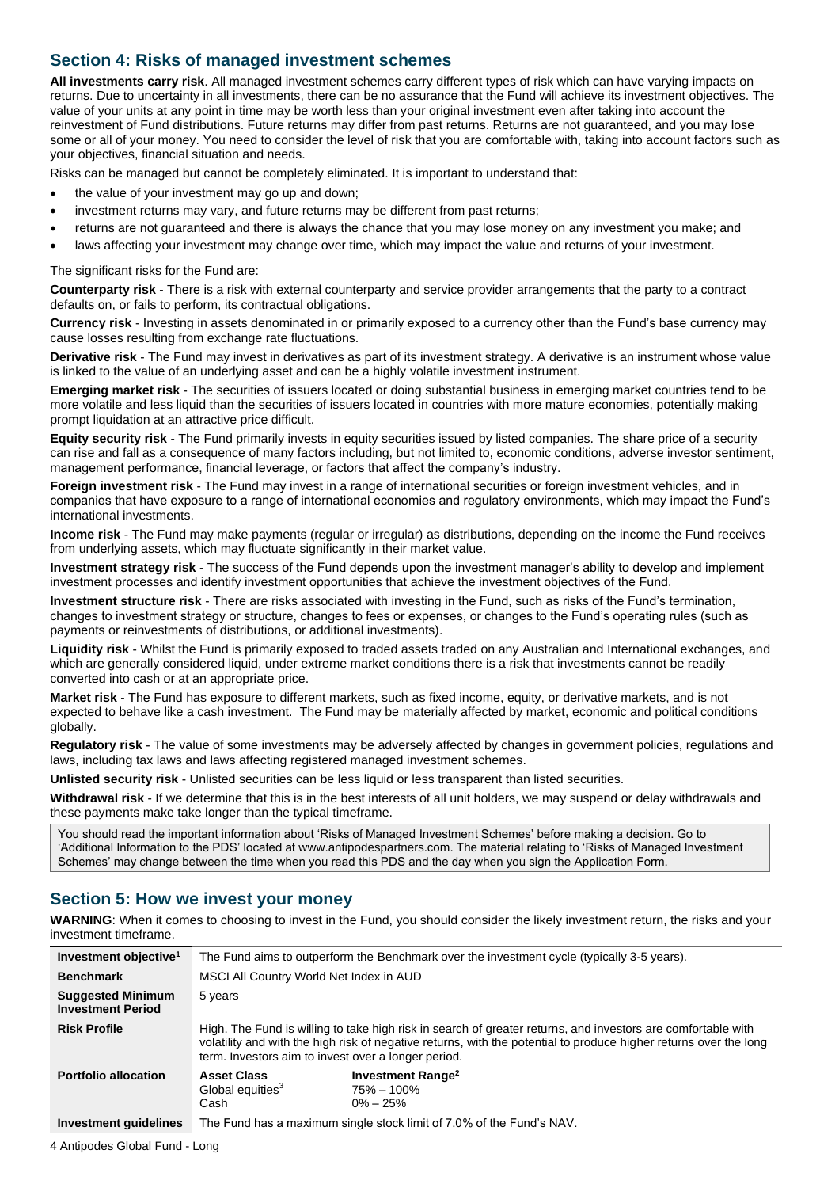# <span id="page-3-0"></span>**Section 4: Risks of managed investment schemes**

**All investments carry risk**. All managed investment schemes carry different types of risk which can have varying impacts on returns. Due to uncertainty in all investments, there can be no assurance that the Fund will achieve its investment objectives. The value of your units at any point in time may be worth less than your original investment even after taking into account the reinvestment of Fund distributions. Future returns may differ from past returns. Returns are not guaranteed, and you may lose some or all of your money. You need to consider the level of risk that you are comfortable with, taking into account factors such as your objectives, financial situation and needs.

Risks can be managed but cannot be completely eliminated. It is important to understand that:

- the value of your investment may go up and down;
- investment returns may vary, and future returns may be different from past returns;
- returns are not guaranteed and there is always the chance that you may lose money on any investment you make; and
- laws affecting your investment may change over time, which may impact the value and returns of your investment.

The significant risks for the Fund are:

**Counterparty risk** - There is a risk with external counterparty and service provider arrangements that the party to a contract defaults on, or fails to perform, its contractual obligations.

**Currency risk** - Investing in assets denominated in or primarily exposed to a currency other than the Fund's base currency may cause losses resulting from exchange rate fluctuations.

**Derivative risk** - The Fund may invest in derivatives as part of its investment strategy. A derivative is an instrument whose value is linked to the value of an underlying asset and can be a highly volatile investment instrument.

**Emerging market risk** - The securities of issuers located or doing substantial business in emerging market countries tend to be more volatile and less liquid than the securities of issuers located in countries with more mature economies, potentially making prompt liquidation at an attractive price difficult.

**Equity security risk** - The Fund primarily invests in equity securities issued by listed companies. The share price of a security can rise and fall as a consequence of many factors including, but not limited to, economic conditions, adverse investor sentiment, management performance, financial leverage, or factors that affect the company's industry.

**Foreign investment risk** - The Fund may invest in a range of international securities or foreign investment vehicles, and in companies that have exposure to a range of international economies and regulatory environments, which may impact the Fund's international investments.

**Income risk** - The Fund may make payments (regular or irregular) as distributions, depending on the income the Fund receives from underlying assets, which may fluctuate significantly in their market value.

**Investment strategy risk** - The success of the Fund depends upon the investment manager's ability to develop and implement investment processes and identify investment opportunities that achieve the investment objectives of the Fund.

**Investment structure risk** - There are risks associated with investing in the Fund, such as risks of the Fund's termination, changes to investment strategy or structure, changes to fees or expenses, or changes to the Fund's operating rules (such as payments or reinvestments of distributions, or additional investments).

**Liquidity risk** - Whilst the Fund is primarily exposed to traded assets traded on any Australian and International exchanges, and which are generally considered liquid, under extreme market conditions there is a risk that investments cannot be readily converted into cash or at an appropriate price.

**Market risk** - The Fund has exposure to different markets, such as fixed income, equity, or derivative markets, and is not expected to behave like a cash investment. The Fund may be materially affected by market, economic and political conditions globally.

**Regulatory risk** - The value of some investments may be adversely affected by changes in government policies, regulations and laws, including tax laws and laws affecting registered managed investment schemes.

**Unlisted security risk** - Unlisted securities can be less liquid or less transparent than listed securities.

**Withdrawal risk** - If we determine that this is in the best interests of all unit holders, we may suspend or delay withdrawals and these payments make take longer than the typical timeframe.

You should read the important information about 'Risks of Managed Investment Schemes' before making a decision. Go to 'Additional Information to the PDS' located at www.antipodespartners.com. The material relating to 'Risks of Managed Investment Schemes' may change between the time when you read this PDS and the day when you sign the Application Form.

## <span id="page-3-1"></span>**Section 5: How we invest your money**

**WARNING**: When it comes to choosing to invest in the Fund, you should consider the likely investment return, the risks and your investment timeframe.

| Investment objective <sup>1</sup>                    | The Fund aims to outperform the Benchmark over the investment cycle (typically 3-5 years).                                                                                                                                                                                               |  |
|------------------------------------------------------|------------------------------------------------------------------------------------------------------------------------------------------------------------------------------------------------------------------------------------------------------------------------------------------|--|
| <b>Benchmark</b>                                     | MSCI All Country World Net Index in AUD                                                                                                                                                                                                                                                  |  |
| <b>Suggested Minimum</b><br><b>Investment Period</b> | 5 years                                                                                                                                                                                                                                                                                  |  |
| <b>Risk Profile</b>                                  | High. The Fund is willing to take high risk in search of greater returns, and investors are comfortable with<br>volatility and with the high risk of negative returns, with the potential to produce higher returns over the long<br>term. Investors aim to invest over a longer period. |  |
| <b>Portfolio allocation</b>                          | Investment Range <sup>2</sup><br><b>Asset Class</b><br>Global equities <sup>3</sup><br>$75\% - 100\%$<br>Cash<br>$0\% - 25\%$                                                                                                                                                            |  |
| Investment quidelines                                | The Fund has a maximum single stock limit of 7.0% of the Fund's NAV.                                                                                                                                                                                                                     |  |

4 Antipodes Global Fund - Long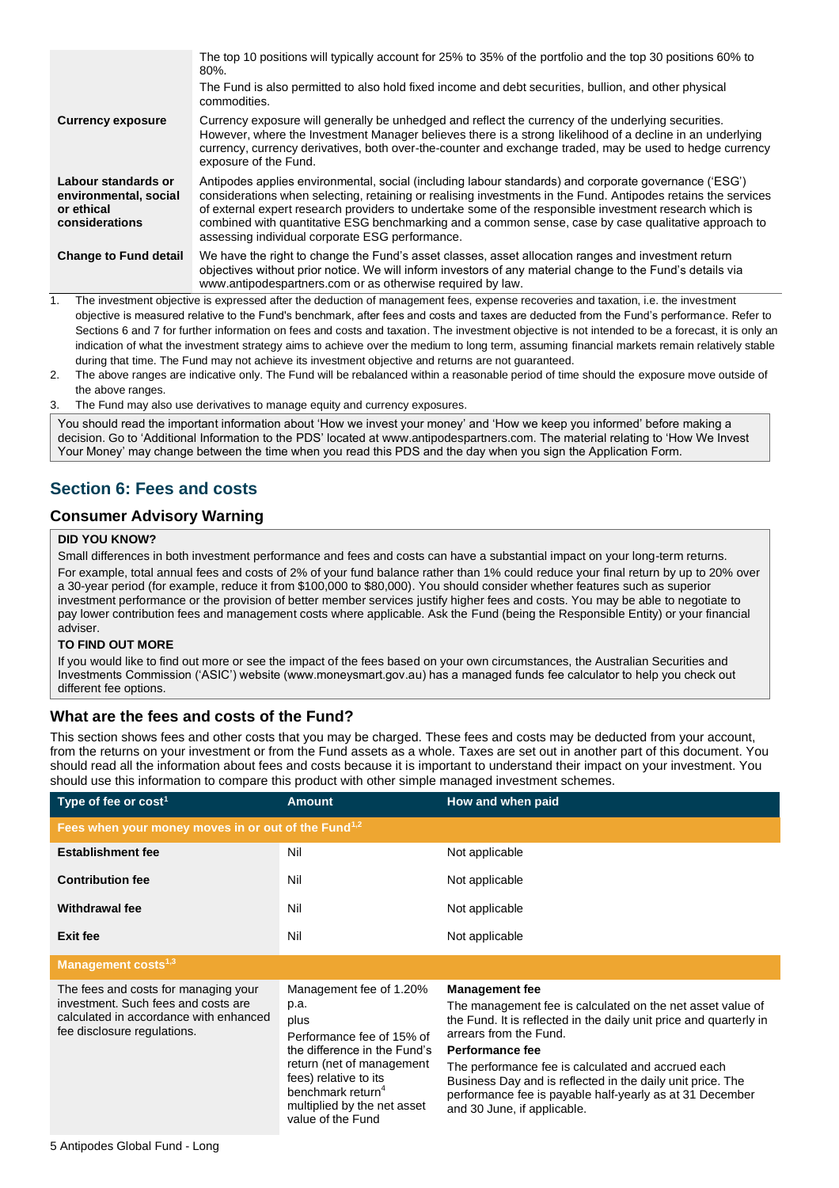|                                                                                                                                                   | The top 10 positions will typically account for 25% to 35% of the portfolio and the top 30 positions 60% to<br>$80\%$ .<br>The Fund is also permitted to also hold fixed income and debt securities, bullion, and other physical<br>commodities.                                                                                                                                                                                                                                             |  |
|---------------------------------------------------------------------------------------------------------------------------------------------------|----------------------------------------------------------------------------------------------------------------------------------------------------------------------------------------------------------------------------------------------------------------------------------------------------------------------------------------------------------------------------------------------------------------------------------------------------------------------------------------------|--|
| <b>Currency exposure</b>                                                                                                                          | Currency exposure will generally be unhedged and reflect the currency of the underlying securities.<br>However, where the Investment Manager believes there is a strong likelihood of a decline in an underlying<br>currency, currency derivatives, both over-the-counter and exchange traded, may be used to hedge currency<br>exposure of the Fund.                                                                                                                                        |  |
| Labour standards or<br>environmental, social<br>or ethical<br>considerations                                                                      | Antipodes applies environmental, social (including labour standards) and corporate governance ('ESG')<br>considerations when selecting, retaining or realising investments in the Fund. Antipodes retains the services<br>of external expert research providers to undertake some of the responsible investment research which is<br>combined with quantitative ESG benchmarking and a common sense, case by case qualitative approach to<br>assessing individual corporate ESG performance. |  |
| <b>Change to Fund detail</b>                                                                                                                      | We have the right to change the Fund's asset classes, asset allocation ranges and investment return<br>objectives without prior notice. We will inform investors of any material change to the Fund's details via<br>www.antipodespartners.com or as otherwise required by law.                                                                                                                                                                                                              |  |
| 1.                                                                                                                                                | The investment objective is expressed after the deduction of management fees, expense recoveries and taxation, i.e. the investment                                                                                                                                                                                                                                                                                                                                                           |  |
| objective is measured relative to the Fund's benchmark, after fees and costs and taxes are deducted from the Fund's performance. Refer to         |                                                                                                                                                                                                                                                                                                                                                                                                                                                                                              |  |
| Sections 6 and 7 for further information on fees and costs and taxation. The investment objective is not intended to be a forecast, it is only an |                                                                                                                                                                                                                                                                                                                                                                                                                                                                                              |  |
|                                                                                                                                                   |                                                                                                                                                                                                                                                                                                                                                                                                                                                                                              |  |

- indication of what the investment strategy aims to achieve over the medium to long term, assuming financial markets remain relatively stable during that time. The Fund may not achieve its investment objective and returns are not guaranteed.
- 2. The above ranges are indicative only. The Fund will be rebalanced within a reasonable period of time should the exposure move outside of the above ranges.
- 3. The Fund may also use derivatives to manage equity and currency exposures.

You should read the important information about 'How we invest your money' and 'How we keep you informed' before making a decision. Go to 'Additional Information to the PDS' located at www.antipodespartners.com. The material relating to 'How We Invest Your Money' may change between the time when you read this PDS and the day when you sign the Application Form.

# <span id="page-4-0"></span>**Section 6: Fees and costs**

#### **Consumer Advisory Warning**

#### **DID YOU KNOW?**

Small differences in both investment performance and fees and costs can have a substantial impact on your long-term returns. For example, total annual fees and costs of 2% of your fund balance rather than 1% could reduce your final return by up to 20% over a 30-year period (for example, reduce it from \$100,000 to \$80,000). You should consider whether features such as superior investment performance or the provision of better member services justify higher fees and costs. You may be able to negotiate to pay lower contribution fees and management costs where applicable. Ask the Fund (being the Responsible Entity) or your financial adviser.

#### **TO FIND OUT MORE**

If you would like to find out more or see the impact of the fees based on your own circumstances, the Australian Securities and Investments Commission ('ASIC') website (www.moneysmart.gov.au) has a managed funds fee calculator to help you check out different fee options.

## **What are the fees and costs of the Fund?**

This section shows fees and other costs that you may be charged. These fees and costs may be deducted from your account, from the returns on your investment or from the Fund assets as a whole. Taxes are set out in another part of this document. You should read all the information about fees and costs because it is important to understand their impact on your investment. You should use this information to compare this product with other simple managed investment schemes.

| Type of fee or cost <sup>1</sup>                                                                                                                     | <b>Amount</b>                                                                                                                                                                                                                                   | How and when paid                                                                                                                                                                                                                                                                                                                                                                                                     |  |
|------------------------------------------------------------------------------------------------------------------------------------------------------|-------------------------------------------------------------------------------------------------------------------------------------------------------------------------------------------------------------------------------------------------|-----------------------------------------------------------------------------------------------------------------------------------------------------------------------------------------------------------------------------------------------------------------------------------------------------------------------------------------------------------------------------------------------------------------------|--|
| Fees when your money moves in or out of the Fund <sup>1,2</sup>                                                                                      |                                                                                                                                                                                                                                                 |                                                                                                                                                                                                                                                                                                                                                                                                                       |  |
| <b>Establishment fee</b>                                                                                                                             | Nil                                                                                                                                                                                                                                             | Not applicable                                                                                                                                                                                                                                                                                                                                                                                                        |  |
| <b>Contribution fee</b>                                                                                                                              | Nil                                                                                                                                                                                                                                             | Not applicable                                                                                                                                                                                                                                                                                                                                                                                                        |  |
| <b>Withdrawal fee</b>                                                                                                                                | Nil                                                                                                                                                                                                                                             | Not applicable                                                                                                                                                                                                                                                                                                                                                                                                        |  |
| <b>Exit fee</b>                                                                                                                                      | Nil                                                                                                                                                                                                                                             | Not applicable                                                                                                                                                                                                                                                                                                                                                                                                        |  |
| Management costs <sup>1,3</sup>                                                                                                                      |                                                                                                                                                                                                                                                 |                                                                                                                                                                                                                                                                                                                                                                                                                       |  |
| The fees and costs for managing your<br>investment. Such fees and costs are<br>calculated in accordance with enhanced<br>fee disclosure regulations. | Management fee of 1.20%<br>p.a.<br>plus<br>Performance fee of 15% of<br>the difference in the Fund's<br>return (net of management<br>fees) relative to its<br>benchmark return <sup>4</sup><br>multiplied by the net asset<br>value of the Fund | <b>Management fee</b><br>The management fee is calculated on the net asset value of<br>the Fund. It is reflected in the daily unit price and quarterly in<br>arrears from the Fund.<br>Performance fee<br>The performance fee is calculated and accrued each<br>Business Day and is reflected in the daily unit price. The<br>performance fee is payable half-yearly as at 31 December<br>and 30 June, if applicable. |  |
|                                                                                                                                                      |                                                                                                                                                                                                                                                 |                                                                                                                                                                                                                                                                                                                                                                                                                       |  |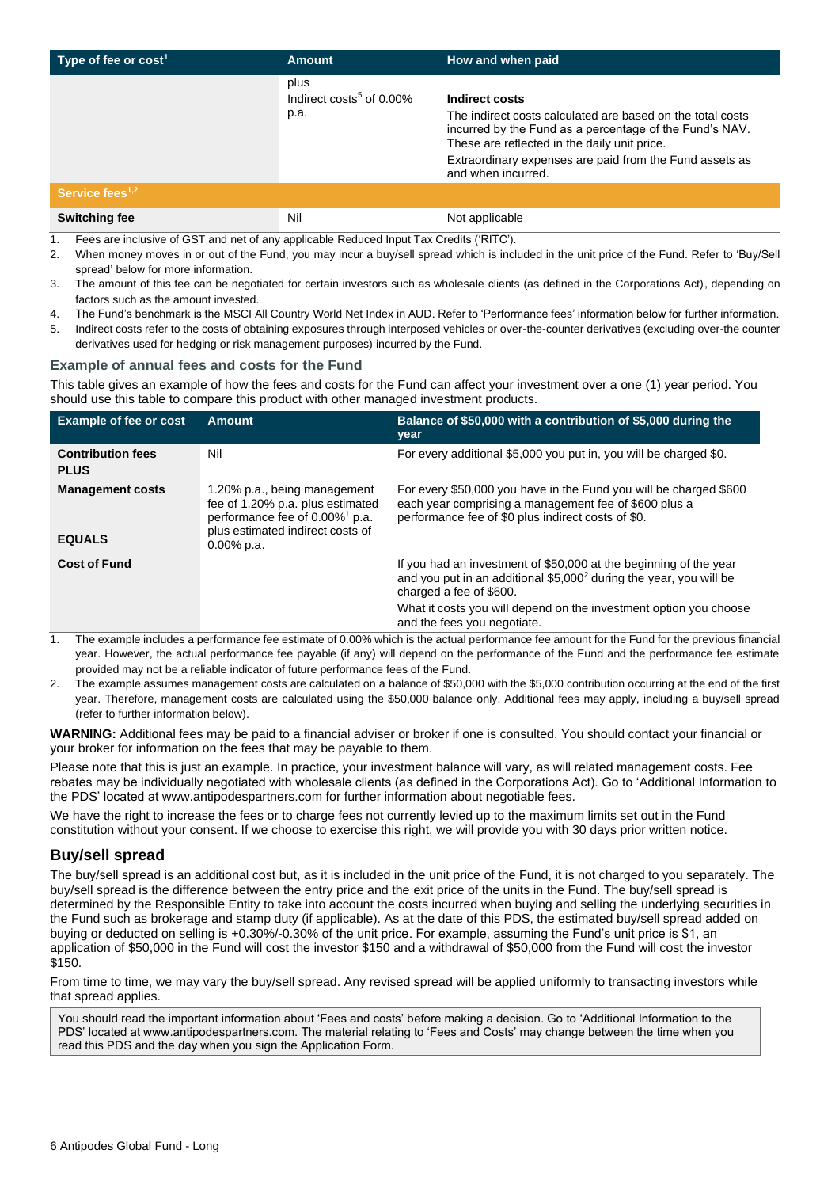| Type of fee or $cost1$      | <b>Amount</b>                                        | How and when paid                                                                                                                                                                                                                                                        |
|-----------------------------|------------------------------------------------------|--------------------------------------------------------------------------------------------------------------------------------------------------------------------------------------------------------------------------------------------------------------------------|
|                             | plus<br>Indirect costs <sup>5</sup> of 0.00%<br>p.a. | Indirect costs<br>The indirect costs calculated are based on the total costs<br>incurred by the Fund as a percentage of the Fund's NAV.<br>These are reflected in the daily unit price.<br>Extraordinary expenses are paid from the Fund assets as<br>and when incurred. |
| Service fees <sup>1,2</sup> |                                                      |                                                                                                                                                                                                                                                                          |
| <b>Switching fee</b>        | Nil                                                  | Not applicable                                                                                                                                                                                                                                                           |

- 1. Fees are inclusive of GST and net of any applicable Reduced Input Tax Credits ('RITC').
- 2. When money moves in or out of the Fund, you may incur a buy/sell spread which is included in the unit price of the Fund. Refer to 'Buy/Sell spread' below for more information.
- 3. The amount of this fee can be negotiated for certain investors such as wholesale clients (as defined in the Corporations Act), depending on factors such as the amount invested.
- 4. The Fund's benchmark is the MSCI All Country World Net Index in AUD. Refer to 'Performance fees' information below for further information.
- 5. Indirect costs refer to the costs of obtaining exposures through interposed vehicles or over-the-counter derivatives (excluding over-the counter derivatives used for hedging or risk management purposes) incurred by the Fund.

#### **Example of annual fees and costs for the Fund**

This table gives an example of how the fees and costs for the Fund can affect your investment over a one (1) year period. You should use this table to compare this product with other managed investment products.

| <b>Example of fee or cost</b>            | Amount                                                                                                                                                              | Balance of \$50,000 with a contribution of \$5,000 during the<br>year                                                                                                                                                                                                              |
|------------------------------------------|---------------------------------------------------------------------------------------------------------------------------------------------------------------------|------------------------------------------------------------------------------------------------------------------------------------------------------------------------------------------------------------------------------------------------------------------------------------|
| <b>Contribution fees</b><br><b>PLUS</b>  | Nil                                                                                                                                                                 | For every additional \$5,000 you put in, you will be charged \$0.                                                                                                                                                                                                                  |
| <b>Management costs</b><br><b>EQUALS</b> | 1.20% p.a., being management<br>fee of 1.20% p.a. plus estimated<br>performance fee of 0.00% <sup>1</sup> p.a.<br>plus estimated indirect costs of<br>$0.00\%$ p.a. | For every \$50,000 you have in the Fund you will be charged \$600<br>each year comprising a management fee of \$600 plus a<br>performance fee of \$0 plus indirect costs of \$0.                                                                                                   |
| <b>Cost of Fund</b>                      |                                                                                                                                                                     | If you had an investment of \$50,000 at the beginning of the year<br>and you put in an additional \$5,000 <sup>2</sup> during the year, you will be<br>charged a fee of \$600.<br>What it costs you will depend on the investment option you choose<br>and the fees you negotiate. |

1. The example includes a performance fee estimate of 0.00% which is the actual performance fee amount for the Fund for the previous financial year. However, the actual performance fee payable (if any) will depend on the performance of the Fund and the performance fee estimate provided may not be a reliable indicator of future performance fees of the Fund.

2. The example assumes management costs are calculated on a balance of \$50,000 with the \$5,000 contribution occurring at the end of the first year. Therefore, management costs are calculated using the \$50,000 balance only. Additional fees may apply, including a buy/sell spread (refer to further information below).

**WARNING:** Additional fees may be paid to a financial adviser or broker if one is consulted. You should contact your financial or your broker for information on the fees that may be payable to them.

Please note that this is just an example. In practice, your investment balance will vary, as will related management costs. Fee rebates may be individually negotiated with wholesale clients (as defined in the Corporations Act). Go to 'Additional Information to the PDS' located at www.antipodespartners.com for further information about negotiable fees.

We have the right to increase the fees or to charge fees not currently levied up to the maximum limits set out in the Fund constitution without your consent. If we choose to exercise this right, we will provide you with 30 days prior written notice.

## **Buy/sell spread**

The buy/sell spread is an additional cost but, as it is included in the unit price of the Fund, it is not charged to you separately. The buy/sell spread is the difference between the entry price and the exit price of the units in the Fund. The buy/sell spread is determined by the Responsible Entity to take into account the costs incurred when buying and selling the underlying securities in the Fund such as brokerage and stamp duty (if applicable). As at the date of this PDS, the estimated buy/sell spread added on buying or deducted on selling is +0.30%/-0.30% of the unit price. For example, assuming the Fund's unit price is \$1, an application of \$50,000 in the Fund will cost the investor \$150 and a withdrawal of \$50,000 from the Fund will cost the investor \$150.

From time to time, we may vary the buy/sell spread. Any revised spread will be applied uniformly to transacting investors while that spread applies.

You should read the important information about 'Fees and costs' before making a decision. Go to 'Additional Information to the PDS' located at www.antipodespartners.com. The material relating to 'Fees and Costs' may change between the time when you read this PDS and the day when you sign the Application Form.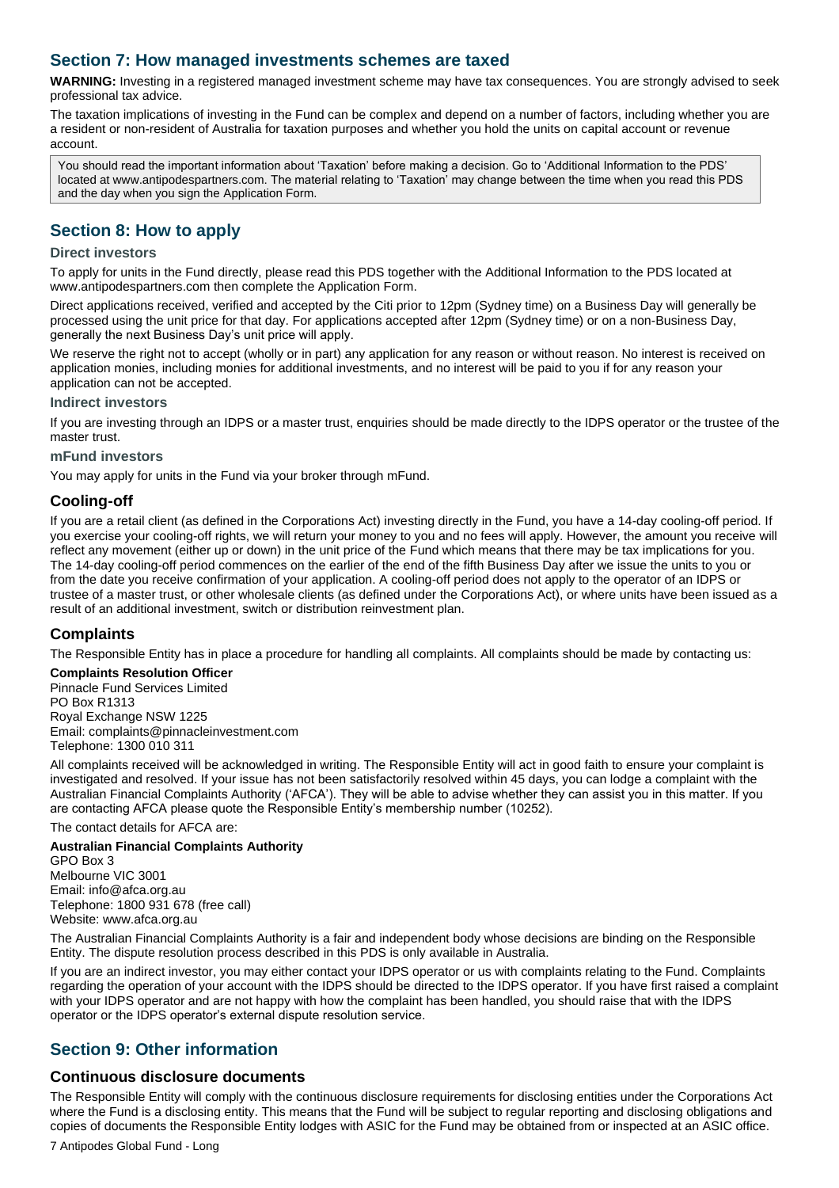# <span id="page-6-0"></span>**Section 7: How managed investments schemes are taxed**

**WARNING:** Investing in a registered managed investment scheme may have tax consequences. You are strongly advised to seek professional tax advice.

The taxation implications of investing in the Fund can be complex and depend on a number of factors, including whether you are a resident or non-resident of Australia for taxation purposes and whether you hold the units on capital account or revenue account.

You should read the important information about 'Taxation' before making a decision. Go to 'Additional Information to the PDS' located at www.antipodespartners.com. The material relating to 'Taxation' may change between the time when you read this PDS and the day when you sign the Application Form.

# <span id="page-6-1"></span>**Section 8: How to apply**

#### **Direct investors**

To apply for units in the Fund directly, please read this PDS together with the Additional Information to the PDS located at www.antipodespartners.com then complete the Application Form.

Direct applications received, verified and accepted by the Citi prior to 12pm (Sydney time) on a Business Day will generally be processed using the unit price for that day. For applications accepted after 12pm (Sydney time) or on a non-Business Day, generally the next Business Day's unit price will apply.

We reserve the right not to accept (wholly or in part) any application for any reason or without reason. No interest is received on application monies, including monies for additional investments, and no interest will be paid to you if for any reason your application can not be accepted.

#### **Indirect investors**

If you are investing through an IDPS or a master trust, enquiries should be made directly to the IDPS operator or the trustee of the master trust.

#### **mFund investors**

You may apply for units in the Fund via your broker through mFund.

## **Cooling-off**

If you are a retail client (as defined in the Corporations Act) investing directly in the Fund, you have a 14-day cooling-off period. If you exercise your cooling-off rights, we will return your money to you and no fees will apply. However, the amount you receive will reflect any movement (either up or down) in the unit price of the Fund which means that there may be tax implications for you. The 14-day cooling-off period commences on the earlier of the end of the fifth Business Day after we issue the units to you or from the date you receive confirmation of your application. A cooling-off period does not apply to the operator of an IDPS or trustee of a master trust, or other wholesale clients (as defined under the Corporations Act), or where units have been issued as a result of an additional investment, switch or distribution reinvestment plan.

## **Complaints**

The Responsible Entity has in place a procedure for handling all complaints. All complaints should be made by contacting us:

#### **Complaints Resolution Officer**

Pinnacle Fund Services Limited PO Box R1313 Royal Exchange NSW 1225 Email: complaints@pinnacleinvestment.com Telephone: 1300 010 311

All complaints received will be acknowledged in writing. The Responsible Entity will act in good faith to ensure your complaint is investigated and resolved. If your issue has not been satisfactorily resolved within 45 days, you can lodge a complaint with the Australian Financial Complaints Authority ('AFCA'). They will be able to advise whether they can assist you in this matter. If you are contacting AFCA please quote the Responsible Entity's membership number (10252).

The contact details for AFCA are:

#### **Australian Financial Complaints Authority**

GPO Box 3 Melbourne VIC 3001 Email: info@afca.org.au Telephone: 1800 931 678 (free call) Website: www.afca.org.au

The Australian Financial Complaints Authority is a fair and independent body whose decisions are binding on the Responsible Entity. The dispute resolution process described in this PDS is only available in Australia.

If you are an indirect investor, you may either contact your IDPS operator or us with complaints relating to the Fund. Complaints regarding the operation of your account with the IDPS should be directed to the IDPS operator. If you have first raised a complaint with your IDPS operator and are not happy with how the complaint has been handled, you should raise that with the IDPS operator or the IDPS operator's external dispute resolution service.

# <span id="page-6-2"></span>**Section 9: Other information**

#### **Continuous disclosure documents**

The Responsible Entity will comply with the continuous disclosure requirements for disclosing entities under the Corporations Act where the Fund is a disclosing entity. This means that the Fund will be subject to regular reporting and disclosing obligations and copies of documents the Responsible Entity lodges with ASIC for the Fund may be obtained from or inspected at an ASIC office.